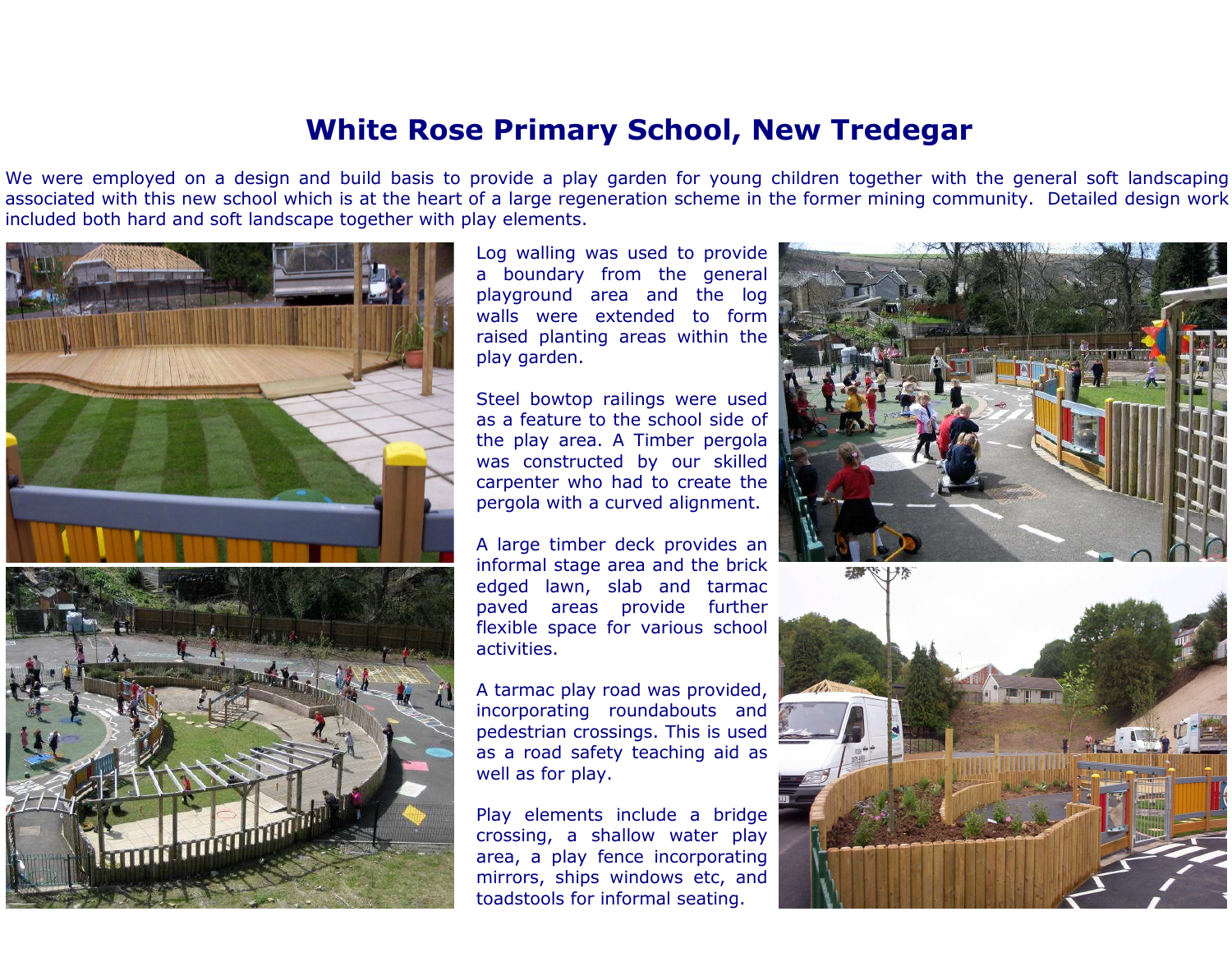## White Rose Primary School, New Tredegar

We were employed on a design and build basis to provide a play garden for young children together with the general soft landscaping associated with this new school which is at the heart of a large regeneration scheme in the former mining community. Detailed design workincluded both hard and soft landscape together with play elements.



Log walling was used to provide a boundary from the general playground area and the log walls were extended to form raised planting areas within theplay garden.

Steel bowtop railings were used as a feature to the school side of the play area. A Timber pergola was constructed by our skilled carpenter who had to create thepergola with a curved alignment.

A large timber deck provides an informal stage area and the brick edged lawn, slab and tarmac paved areas provide further flexible space for various schoolactivities.

A tarmac play road was provided, incorporating roundabouts and pedestrian crossings. This is used as a road safety teaching aid aswell as for play.

Play elements include a bridge crossing, a shallow water play area, a play fence incorporating mirrors, ships windows etc, andtoadstools for informal seating.